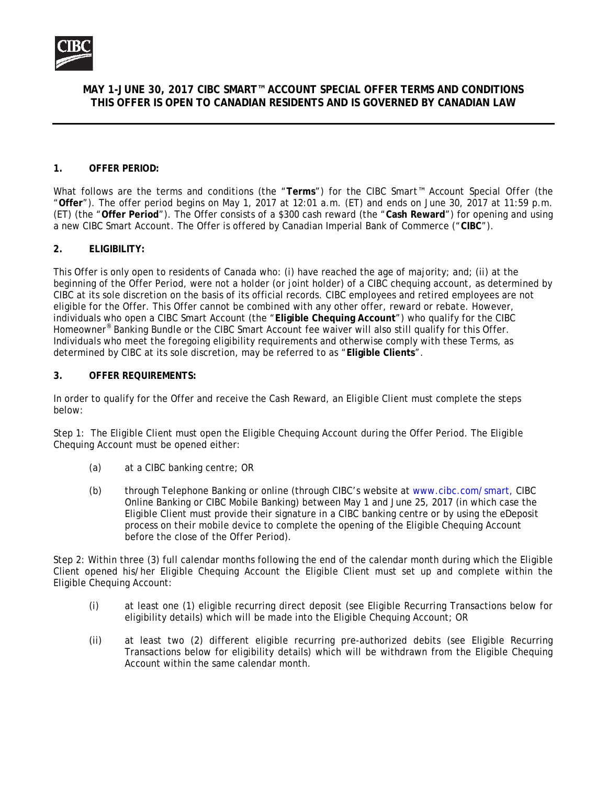

# **MAY 1-JUNE 30, 2017 CIBC SMART™ ACCOUNT SPECIAL OFFER TERMS AND CONDITIONS THIS OFFER IS OPEN TO CANADIAN RESIDENTS AND IS GOVERNED BY CANADIAN LAW**

#### **1. OFFER PERIOD:**

What follows are the terms and conditions (the "**Terms**") for the *CIBC Smart™ Account Special Offer* (the "**Offer**"). The offer period begins on May 1, 2017 at 12:01 a.m. (ET) and ends on June 30, 2017 at 11:59 p.m. (ET) (the "**Offer Period**"). The Offer consists of a \$300 cash reward (the "**Cash Reward**") for opening and using a new CIBC Smart Account. The Offer is offered by Canadian Imperial Bank of Commerce ("**CIBC**").

#### **2. ELIGIBILITY:**

This Offer is only open to residents of Canada who: (i) have reached the age of majority; and; (ii) at the beginning of the Offer Period, were not a holder (or joint holder) of a CIBC chequing account, as determined by CIBC at its sole discretion on the basis of its official records. CIBC employees and retired employees are not eligible for the Offer. This Offer cannot be combined with any other offer, reward or rebate. However, individuals who open a CIBC Smart Account (the "**Eligible Chequing Account**") who qualify for the CIBC Homeowner® Banking Bundle or the CIBC Smart Account fee waiver will also still qualify for this Offer. Individuals who meet the foregoing eligibility requirements and otherwise comply with these Terms, as determined by CIBC at its sole discretion, may be referred to as "**Eligible Clients**".

#### **3. OFFER REQUIREMENTS:**

In order to qualify for the Offer and receive the Cash Reward, an Eligible Client must complete the steps below:

Step 1: The Eligible Client must open the Eligible Chequing Account during the Offer Period. The Eligible Chequing Account must be opened either:

- (a) at a CIBC banking centre; OR
- (b) through Telephone Banking or online (through CIBC's website at www.cibc.com/smart, CIBC Online Banking or CIBC Mobile Banking) between May 1 and June 25, 2017 (in which case the Eligible Client must provide their signature in a CIBC banking centre or by using the eDeposit process on their mobile device to complete the opening of the Eligible Chequing Account before the close of the Offer Period).

Step 2: Within three (3) full calendar months following the end of the calendar month during which the Eligible Client opened his/her Eligible Chequing Account the Eligible Client must set up and complete within the Eligible Chequing Account:

- (i) at least one (1) eligible recurring direct deposit (see Eligible Recurring Transactions below for eligibility details) which will be made into the Eligible Chequing Account; OR
- (ii) at least two (2) different eligible recurring pre-authorized debits (see Eligible Recurring Transactions below for eligibility details) which will be withdrawn from the Eligible Chequing Account within the same calendar month.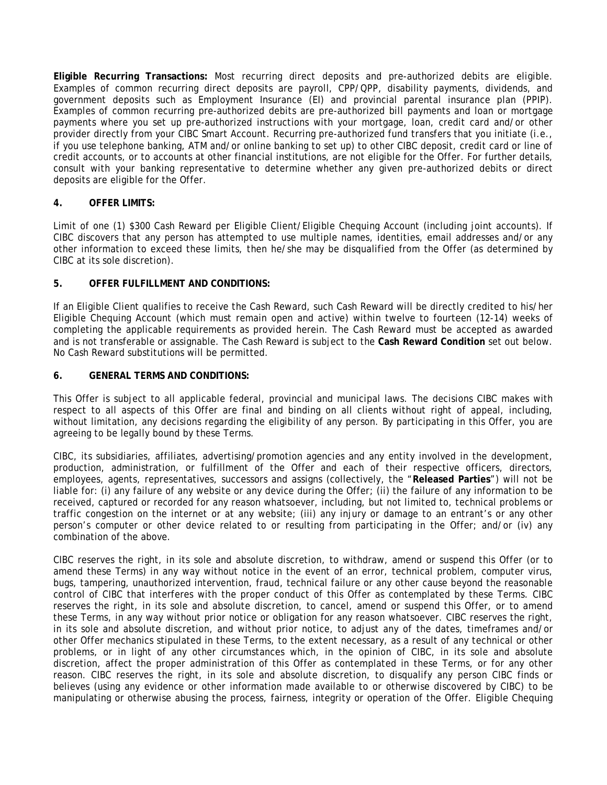**Eligible Recurring Transactions:** Most recurring direct deposits and pre-authorized debits are eligible. Examples of common recurring direct deposits are payroll, CPP/QPP, disability payments, dividends, and government deposits such as Employment Insurance (EI) and provincial parental insurance plan (PPIP). Examples of common recurring pre-authorized debits are pre-authorized bill payments and loan or mortgage payments where you set up pre-authorized instructions with your mortgage, loan, credit card and/or other provider directly from your CIBC Smart Account. Recurring pre-authorized fund transfers that you initiate (i.e., if you use telephone banking, ATM and/or online banking to set up) to other CIBC deposit, credit card or line of credit accounts, or to accounts at other financial institutions, are not eligible for the Offer. For further details, consult with your banking representative to determine whether any given pre-authorized debits or direct deposits are eligible for the Offer.

## **4. OFFER LIMITS:**

Limit of one (1) \$300 Cash Reward per Eligible Client/Eligible Chequing Account (including joint accounts). If CIBC discovers that any person has attempted to use multiple names, identities, email addresses and/or any other information to exceed these limits, then he/she may be disqualified from the Offer (as determined by CIBC at its sole discretion).

## **5. OFFER FULFILLMENT AND CONDITIONS:**

If an Eligible Client qualifies to receive the Cash Reward, such Cash Reward will be directly credited to his/her Eligible Chequing Account (which must remain open and active) within twelve to fourteen (12-14) weeks of completing the applicable requirements as provided herein. The Cash Reward must be accepted as awarded and is not transferable or assignable. The Cash Reward is subject to the **Cash Reward Condition** set out below. No Cash Reward substitutions will be permitted.

## **6. GENERAL TERMS AND CONDITIONS:**

This Offer is subject to all applicable federal, provincial and municipal laws. The decisions CIBC makes with respect to all aspects of this Offer are final and binding on all clients without right of appeal, including, without limitation, any decisions regarding the eligibility of any person. By participating in this Offer, you are agreeing to be legally bound by these Terms.

CIBC, its subsidiaries, affiliates, advertising/promotion agencies and any entity involved in the development, production, administration, or fulfillment of the Offer and each of their respective officers, directors, employees, agents, representatives, successors and assigns (collectively, the "**Released Parties**") will not be liable for: (i) any failure of any website or any device during the Offer; (ii) the failure of any information to be received, captured or recorded for any reason whatsoever, including, but not limited to, technical problems or traffic congestion on the internet or at any website; (iii) any injury or damage to an entrant's or any other person's computer or other device related to or resulting from participating in the Offer; and/or (iv) any combination of the above.

CIBC reserves the right, in its sole and absolute discretion, to withdraw, amend or suspend this Offer (or to amend these Terms) in any way without notice in the event of an error, technical problem, computer virus, bugs, tampering, unauthorized intervention, fraud, technical failure or any other cause beyond the reasonable control of CIBC that interferes with the proper conduct of this Offer as contemplated by these Terms. CIBC reserves the right, in its sole and absolute discretion, to cancel, amend or suspend this Offer, or to amend these Terms, in any way without prior notice or obligation for any reason whatsoever. CIBC reserves the right, in its sole and absolute discretion, and without prior notice, to adjust any of the dates, timeframes and/or other Offer mechanics stipulated in these Terms, to the extent necessary, as a result of any technical or other problems, or in light of any other circumstances which, in the opinion of CIBC, in its sole and absolute discretion, affect the proper administration of this Offer as contemplated in these Terms, or for any other reason. CIBC reserves the right, in its sole and absolute discretion, to disqualify any person CIBC finds or believes (using any evidence or other information made available to or otherwise discovered by CIBC) to be manipulating or otherwise abusing the process, fairness, integrity or operation of the Offer. Eligible Chequing